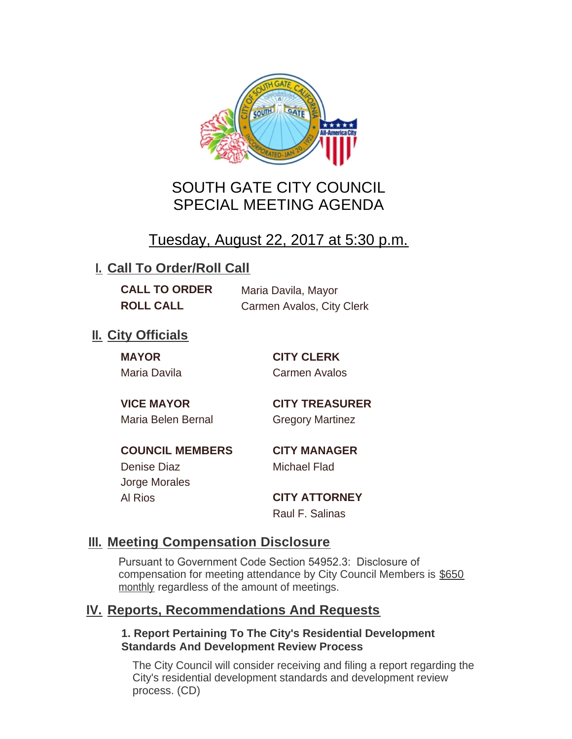

# SOUTH GATE CITY COUNCIL SPECIAL MEETING AGENDA

# Tuesday, August 22, 2017 at 5:30 p.m.

## **I. Call To Order/Roll Call**

**CALL TO ORDER** Maria Davila, Mayor **ROLL CALL** Carmen Avalos, City Clerk

## **II.** City Officials

**MAYOR CITY CLERK** Maria Davila Carmen Avalos

Maria Belen Bernal **Gregory Martinez** 

**VICE MAYOR CITY TREASURER**

**COUNCIL MEMBERS CITY MANAGER** Denise Diaz Michael Flad

Jorge Morales

Al Rios **CITY ATTORNEY** Raul F. Salinas

### **Meeting Compensation Disclosure III.**

Pursuant to Government Code Section 54952.3: Disclosure of compensation for meeting attendance by City Council Members is \$650 monthly regardless of the amount of meetings.

### **Reports, Recommendations And Requests IV.**

#### **1. Report Pertaining To The City's Residential Development Standards And Development Review Process**

The City Council will consider receiving and filing a report regarding the City's residential development standards and development review process. (CD)